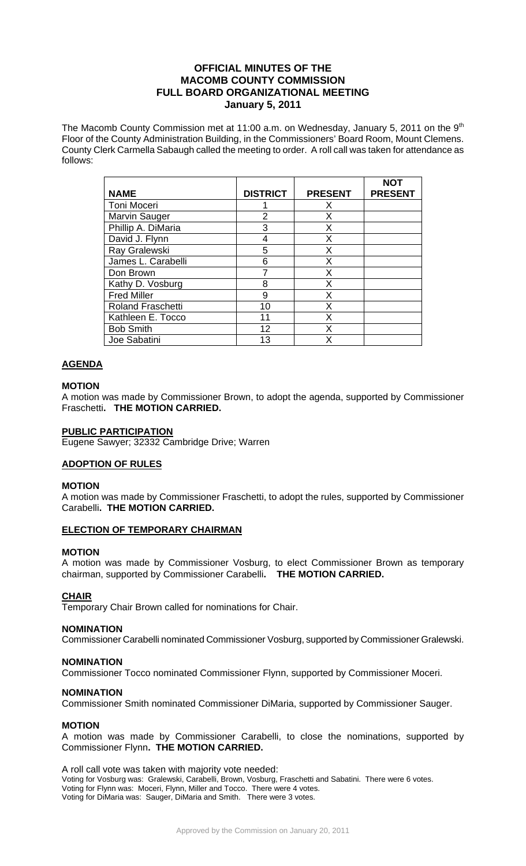# **OFFICIAL MINUTES OF THE MACOMB COUNTY COMMISSION FULL BOARD ORGANIZATIONAL MEETING January 5, 2011**

The Macomb County Commission met at 11:00 a.m. on Wednesday, January 5, 2011 on the  $9<sup>th</sup>$ Floor of the County Administration Building, in the Commissioners' Board Room, Mount Clemens. County Clerk Carmella Sabaugh called the meeting to order. A roll call was taken for attendance as follows:

|                          |                 |                | <b>NOT</b>     |
|--------------------------|-----------------|----------------|----------------|
| <b>NAME</b>              | <b>DISTRICT</b> | <b>PRESENT</b> | <b>PRESENT</b> |
| Toni Moceri              |                 | X              |                |
| Marvin Sauger            | $\overline{2}$  | Х              |                |
| Phillip A. DiMaria       | 3               | X              |                |
| David J. Flynn           | 4               | X              |                |
| Ray Gralewski            | 5               | X              |                |
| James L. Carabelli       | 6               | X              |                |
| Don Brown                | 7               | X              |                |
| Kathy D. Vosburg         | 8               | X              |                |
| <b>Fred Miller</b>       | 9               | X              |                |
| <b>Roland Fraschetti</b> | 10              | X              |                |
| Kathleen E. Tocco        | 11              | X              |                |
| <b>Bob Smith</b>         | 12              | X              |                |
| Joe Sabatini             | 13              | x              |                |

# **AGENDA**

# **MOTION**

A motion was made by Commissioner Brown, to adopt the agenda, supported by Commissioner Fraschetti**. THE MOTION CARRIED.** 

### **PUBLIC PARTICIPATION**

Eugene Sawyer; 32332 Cambridge Drive; Warren

# **ADOPTION OF RULES**

## **MOTION**

A motion was made by Commissioner Fraschetti, to adopt the rules, supported by Commissioner Carabelli**. THE MOTION CARRIED.** 

# **ELECTION OF TEMPORARY CHAIRMAN**

#### **MOTION**

A motion was made by Commissioner Vosburg, to elect Commissioner Brown as temporary chairman, supported by Commissioner Carabelli**. THE MOTION CARRIED.** 

## **CHAIR**

Temporary Chair Brown called for nominations for Chair.

## **NOMINATION**

Commissioner Carabelli nominated Commissioner Vosburg, supported by Commissioner Gralewski.

## **NOMINATION**

Commissioner Tocco nominated Commissioner Flynn, supported by Commissioner Moceri.

#### **NOMINATION**

Commissioner Smith nominated Commissioner DiMaria, supported by Commissioner Sauger.

## **MOTION**

A motion was made by Commissioner Carabelli, to close the nominations, supported by Commissioner Flynn**. THE MOTION CARRIED.** 

A roll call vote was taken with majority vote needed: Voting for Vosburg was: Gralewski, Carabelli, Brown, Vosburg, Fraschetti and Sabatini. There were 6 votes. Voting for Flynn was: Moceri, Flynn, Miller and Tocco. There were 4 votes. Voting for DiMaria was: Sauger, DiMaria and Smith. There were 3 votes.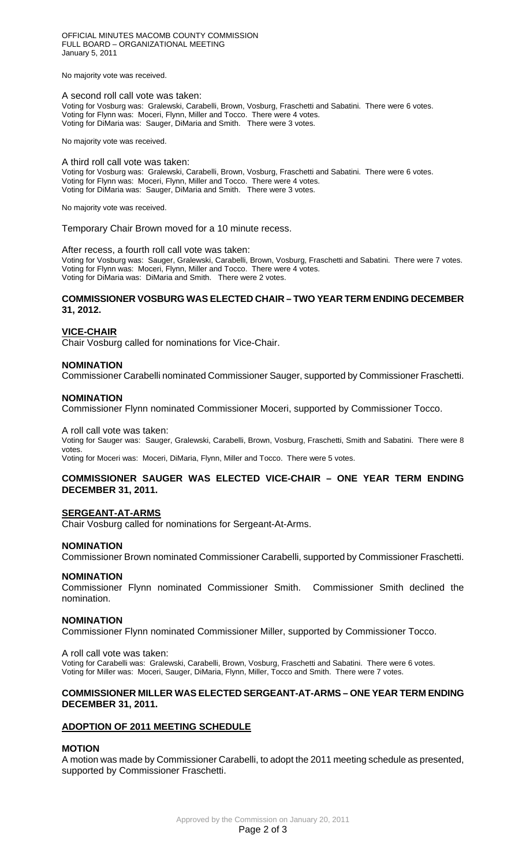OFFICIAL MINUTES MACOMB COUNTY COMMISSION FULL BOARD – ORGANIZATIONAL MEETING January 5, 2011

No majority vote was received.

#### A second roll call vote was taken:

Voting for Vosburg was: Gralewski, Carabelli, Brown, Vosburg, Fraschetti and Sabatini. There were 6 votes. Voting for Flynn was: Moceri, Flynn, Miller and Tocco. There were 4 votes. Voting for DiMaria was: Sauger, DiMaria and Smith. There were 3 votes.

No majority vote was received.

# A third roll call vote was taken:

Voting for Vosburg was: Gralewski, Carabelli, Brown, Vosburg, Fraschetti and Sabatini. There were 6 votes. Voting for Flynn was: Moceri, Flynn, Miller and Tocco. There were 4 votes. Voting for DiMaria was: Sauger, DiMaria and Smith. There were 3 votes.

No majority vote was received.

Temporary Chair Brown moved for a 10 minute recess.

#### After recess, a fourth roll call vote was taken:

Voting for Vosburg was: Sauger, Gralewski, Carabelli, Brown, Vosburg, Fraschetti and Sabatini. There were 7 votes. Voting for Flynn was: Moceri, Flynn, Miller and Tocco. There were 4 votes. Voting for DiMaria was: DiMaria and Smith. There were 2 votes.

### **COMMISSIONER VOSBURG WAS ELECTED CHAIR – TWO YEAR TERM ENDING DECEMBER 31, 2012.**

### **VICE-CHAIR**

Chair Vosburg called for nominations for Vice-Chair.

#### **NOMINATION**

Commissioner Carabelli nominated Commissioner Sauger, supported by Commissioner Fraschetti.

#### **NOMINATION**

Commissioner Flynn nominated Commissioner Moceri, supported by Commissioner Tocco.

#### A roll call vote was taken:

Voting for Sauger was: Sauger, Gralewski, Carabelli, Brown, Vosburg, Fraschetti, Smith and Sabatini. There were 8 votes

Voting for Moceri was: Moceri, DiMaria, Flynn, Miller and Tocco. There were 5 votes.

### **COMMISSIONER SAUGER WAS ELECTED VICE-CHAIR – ONE YEAR TERM ENDING DECEMBER 31, 2011.**

### **SERGEANT-AT-ARMS**

Chair Vosburg called for nominations for Sergeant-At-Arms.

#### **NOMINATION**

Commissioner Brown nominated Commissioner Carabelli, supported by Commissioner Fraschetti.

#### **NOMINATION**

Commissioner Flynn nominated Commissioner Smith. Commissioner Smith declined the nomination.

#### **NOMINATION**

Commissioner Flynn nominated Commissioner Miller, supported by Commissioner Tocco.

#### A roll call vote was taken:

Voting for Carabelli was: Gralewski, Carabelli, Brown, Vosburg, Fraschetti and Sabatini. There were 6 votes. Voting for Miller was: Moceri, Sauger, DiMaria, Flynn, Miller, Tocco and Smith. There were 7 votes.

# **COMMISSIONER MILLER WAS ELECTED SERGEANT-AT-ARMS – ONE YEAR TERM ENDING DECEMBER 31, 2011.**

## **ADOPTION OF 2011 MEETING SCHEDULE**

### **MOTION**

A motion was made by Commissioner Carabelli, to adopt the 2011 meeting schedule as presented, supported by Commissioner Fraschetti.